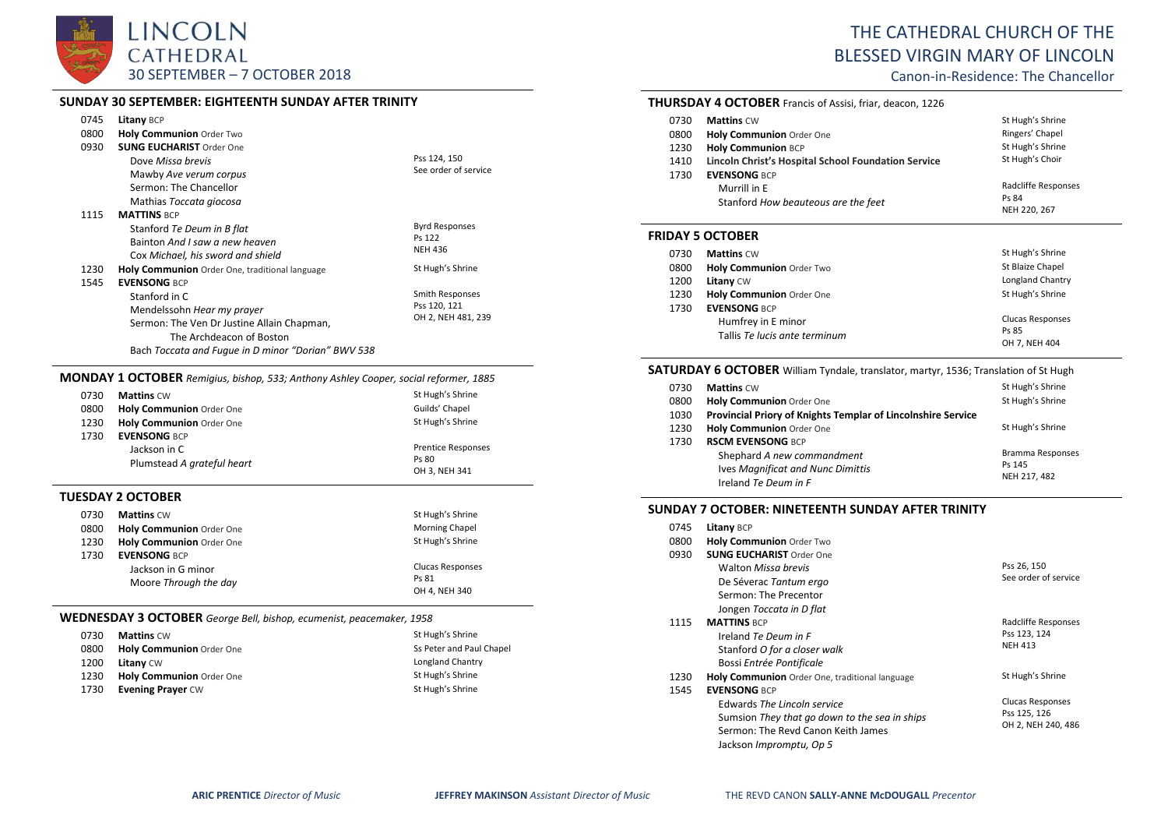

#### **SUNDAY 30 SEPTEMBER: EIGHTEENTH SUNDAY AFTER TRINITY**

| 0745<br>0800<br>0930 | <b>Litany BCP</b><br><b>Holy Communion Order Two</b><br><b>SUNG EUCHARIST Order One</b><br>Dove Missa brevis<br>Mawby Ave verum corpus<br>Sermon: The Chancellor<br>Mathias Toccata giocosa        | Pss 124, 150<br>See order of service                  |
|----------------------|----------------------------------------------------------------------------------------------------------------------------------------------------------------------------------------------------|-------------------------------------------------------|
| 1115                 | <b>MATTINS BCP</b><br>Stanford Te Deum in B flat<br>Bainton And I saw a new heaven<br>Cox Michael, his sword and shield                                                                            | <b>Byrd Responses</b><br>Ps 122<br><b>NEH 436</b>     |
| 1230                 | <b>Holy Communion</b> Order One, traditional language                                                                                                                                              | St Hugh's Shrine                                      |
| 1545                 | <b>FVENSONG BCP</b><br>Stanford in C<br>Mendelssohn Hear my prayer<br>Sermon: The Ven Dr Justine Allain Chapman,<br>The Archdeacon of Boston<br>Bach Toccata and Fugue in D minor "Dorian" BWV 538 | Smith Responses<br>Pss 120, 121<br>OH 2, NEH 481, 239 |

#### **MONDAY 1 OCTOBER** *Remigius, bishop, 533; Anthony Ashley Cooper, social reformer, 1885*

| 0730 | <b>Mattins CW</b>          | St Hugh's Shrine          |
|------|----------------------------|---------------------------|
| 0800 | Holy Communion Order One   | Guilds' Chapel            |
| 1230 | Holy Communion Order One   | St Hugh's Shrine          |
| 1730 | <b>EVENSONG BCP</b>        |                           |
|      | Jackson in C               | <b>Prentice Responses</b> |
|      | Plumstead A grateful heart | Ps 80                     |
|      |                            | OH 3, NEH 341             |

#### **TUESDAY 2 OCTOBER**

| 0730 | <b>Mattins CW</b>               | St Hugh's Shrine        |
|------|---------------------------------|-------------------------|
| 0800 | <b>Holy Communion Order One</b> | <b>Morning Chapel</b>   |
| 1230 | <b>Holy Communion Order One</b> | St Hugh's Shrine        |
| 1730 | <b>EVENSONG BCP</b>             |                         |
|      | Jackson in G minor              | <b>Clucas Responses</b> |
|      | Moore Through the day           | Ps 81                   |
|      |                                 | OH 4, NEH 340           |

#### **WEDNESDAY 3 OCTOBER** *George Bell, bishop, ecumenist, peacemaker, 1958*

| 0730 | <b>Mattins CW</b>               | St Hugh's Shrine         |
|------|---------------------------------|--------------------------|
| 0800 | <b>Holy Communion Order One</b> | Ss Peter and Paul Chapel |
| 1200 | <b>Litany CW</b>                | Longland Chantry         |
| 1230 | Holy Communion Order One        | St Hugh's Shrine         |
| 1730 | <b>Evening Prayer CW</b>        | St Hugh's Shrine         |

# THE CATHEDRAL CHURCH OF THE BLESSED VIRGIN MARY OF LINCOLN

Canon-in-Residence: The Chancellor

#### **THURSDAY 4 OCTOBER** Francis of Assisi, friar, deacon, 1226 0730 **Mattins** CW St Hugh's Shrine<br>
0800 **Holy Communion** Order One Communion of Chapel Structure Ringers' Chapel 0800 **Holy Communion** Order One 1230 **Holy Communion** BCP **Lincoln Christ's Hospital School Foundation Service** St Hugh's Shrine St Hugh's Choir

| 1410 | Lincoln Christ's Hospital School Foundation Service | St Hugh's Choir     |
|------|-----------------------------------------------------|---------------------|
| 1730 | <b>EVENSONG BCP</b>                                 |                     |
|      | Murrill in E                                        | Radcliffe Responses |
|      | Stanford How beauteous are the feet                 | Ps 84               |
|      |                                                     | NEH 220, 267        |

#### **FRIDAY 5 OCTOBER**

| 0730 | <b>Mattins CW</b>             | St Hugh's Shrine        |
|------|-------------------------------|-------------------------|
| 0800 | Holy Communion Order Two      | St Blaize Chapel        |
| 1200 | Litany CW                     | Longland Chantry        |
| 1230 | Holy Communion Order One      | St Hugh's Shrine        |
| 1730 | <b>EVENSONG BCP</b>           |                         |
|      | Humfrey in E minor            | <b>Clucas Responses</b> |
|      | Tallis Te lucis ante terminum | Ps 85                   |
|      |                               | OH 7, NEH 404           |

#### **SATURDAY 6 OCTOBER** William Tyndale, translator, martyr, 1536; Translation of St Hugh

| 0730 | <b>Mattins CW</b>                                            | St Hugh's Shrine        |
|------|--------------------------------------------------------------|-------------------------|
| 0800 | Holy Communion Order One                                     | St Hugh's Shrine        |
| 1030 | Provincial Priory of Knights Templar of Lincolnshire Service |                         |
| 1230 | Holy Communion Order One                                     | St Hugh's Shrine        |
| 1730 | <b>RSCM EVENSONG BCP</b>                                     |                         |
|      | Shephard A new commandment                                   | <b>Bramma Responses</b> |
|      | Ives Magnificat and Nunc Dimittis                            | Ps 145                  |
|      | Ireland Te Deum in F                                         | NEH 217, 482            |

### **SUNDAY 7 OCTOBER: NINETEENTH SUNDAY AFTER TRINITY**

| 0745 | <b>Litany BCP</b>                              |                         |
|------|------------------------------------------------|-------------------------|
| 0800 | <b>Holy Communion Order Two</b>                |                         |
| 0930 | <b>SUNG EUCHARIST Order One</b>                |                         |
|      | <b>Walton Missa brevis</b>                     | Pss 26, 150             |
|      | De Séverac Tantum ergo                         | See order of service    |
|      | Sermon: The Precentor                          |                         |
|      | Jongen Toccata in D flat                       |                         |
| 1115 | <b>MATTINS BCP</b>                             | Radcliffe Responses     |
|      | Ireland Te Deum in F                           | Pss 123, 124            |
|      | Stanford O for a closer walk                   | <b>NEH 413</b>          |
|      | Bossi Entrée Pontificale                       |                         |
| 1230 | Holy Communion Order One, traditional language | St Hugh's Shrine        |
| 1545 | <b>EVENSONG BCP</b>                            |                         |
|      | Edwards The Lincoln service                    | <b>Clucas Responses</b> |
|      | Sumsion They that go down to the sea in ships  | Pss 125, 126            |
|      | Sermon: The Revd Canon Keith James             | OH 2, NEH 240, 486      |
|      | Jackson Impromptu, Op 5                        |                         |